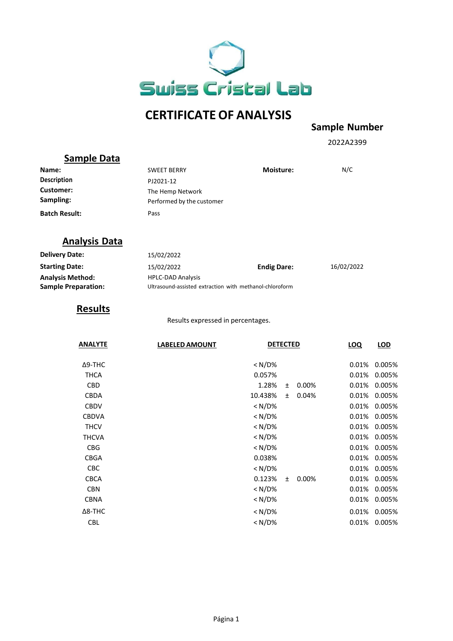

# **CERTIFICATE OF ANALYSIS**

#### **Sample Number**

2022A2399

## **Sample Data**

| Name:                         | <b>SWEET BERRY</b>                            | <b>Moisture:</b> | N/C |
|-------------------------------|-----------------------------------------------|------------------|-----|
| <b>Description</b>            | PJ2021-12                                     |                  |     |
| <b>Customer:</b><br>Sampling: | The Hemp Network<br>Performed by the customer |                  |     |
| <b>Batch Result:</b>          | Pass                                          |                  |     |

### **Analysis Data**

| <b>Delivery Date:</b>      | 15/02/2022                                              |                    |            |
|----------------------------|---------------------------------------------------------|--------------------|------------|
| <b>Starting Date:</b>      | 15/02/2022                                              | <b>Endig Dare:</b> | 16/02/2022 |
| <b>Analysis Method:</b>    | <b>HPLC-DAD Analysis</b>                                |                    |            |
| <b>Sample Preparation:</b> | Ultrasound-assisted extraction with methanol-chloroform |                    |            |

#### **Results**

Results expressed in percentages.

| <b>ANALYTE</b> | <b>LABELED AMOUNT</b> | <b>DETECTED</b> |       |       | <b>LOQ</b> | LOD    |
|----------------|-----------------------|-----------------|-------|-------|------------|--------|
| Δ9-THC         |                       | < N/D%          |       |       | 0.01%      | 0.005% |
| <b>THCA</b>    |                       | 0.057%          |       |       | 0.01%      | 0.005% |
| <b>CBD</b>     |                       | 1.28%           | $\pm$ | 0.00% | 0.01%      | 0.005% |
| <b>CBDA</b>    |                       | 10.438%         | $\pm$ | 0.04% | 0.01%      | 0.005% |
| <b>CBDV</b>    |                       | $< N/D\%$       |       |       | 0.01%      | 0.005% |
| <b>CBDVA</b>   |                       | $<$ N/D%        |       |       | 0.01%      | 0.005% |
| <b>THCV</b>    |                       | $<$ N/D%        |       |       | 0.01%      | 0.005% |
| <b>THCVA</b>   |                       | < N/D%          |       |       | 0.01%      | 0.005% |
| <b>CBG</b>     |                       | < N/D%          |       |       | 0.01%      | 0.005% |
| <b>CBGA</b>    |                       | 0.038%          |       |       | 0.01%      | 0.005% |
| <b>CBC</b>     |                       | $<$ N/D%        |       |       | 0.01%      | 0.005% |
| <b>CBCA</b>    |                       | 0.123%          | $\pm$ | 0.00% | 0.01%      | 0.005% |
| <b>CBN</b>     |                       | < N/D%          |       |       | 0.01%      | 0.005% |
| <b>CBNA</b>    |                       | < N/D%          |       |       | 0.01%      | 0.005% |
| $\Delta$ 8-THC |                       | < N/D%          |       |       | 0.01%      | 0.005% |
| <b>CBL</b>     |                       | < N/D%          |       |       | 0.01%      | 0.005% |